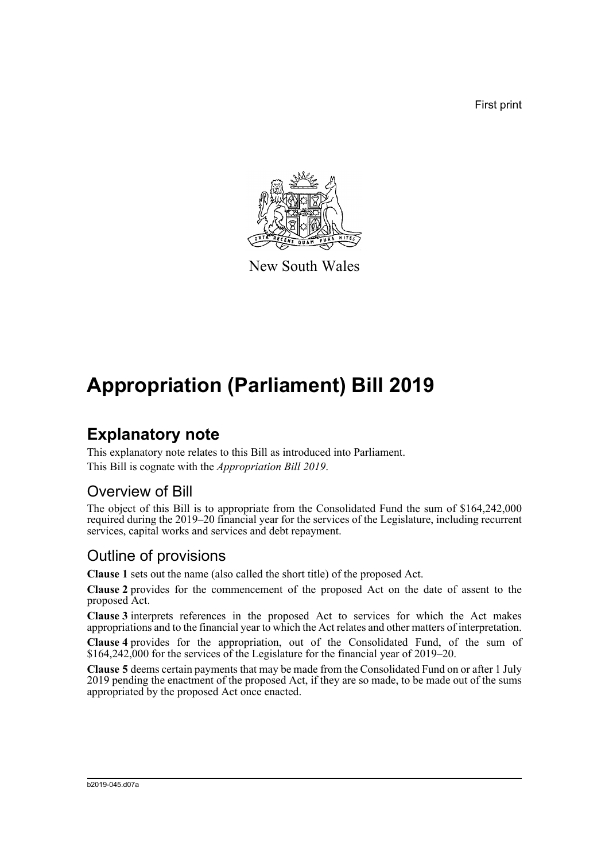First print



New South Wales

# **Appropriation (Parliament) Bill 2019**

### **Explanatory note**

This explanatory note relates to this Bill as introduced into Parliament. This Bill is cognate with the *Appropriation Bill 2019*.

#### Overview of Bill

The object of this Bill is to appropriate from the Consolidated Fund the sum of \$164,242,000 required during the 2019–20 financial year for the services of the Legislature, including recurrent services, capital works and services and debt repayment.

#### Outline of provisions

**Clause 1** sets out the name (also called the short title) of the proposed Act.

**Clause 2** provides for the commencement of the proposed Act on the date of assent to the proposed Act.

**Clause 3** interprets references in the proposed Act to services for which the Act makes appropriations and to the financial year to which the Act relates and other matters of interpretation.

**Clause 4** provides for the appropriation, out of the Consolidated Fund, of the sum of \$164,242,000 for the services of the Legislature for the financial year of 2019–20.

**Clause 5** deems certain payments that may be made from the Consolidated Fund on or after 1 July 2019 pending the enactment of the proposed Act, if they are so made, to be made out of the sums appropriated by the proposed Act once enacted.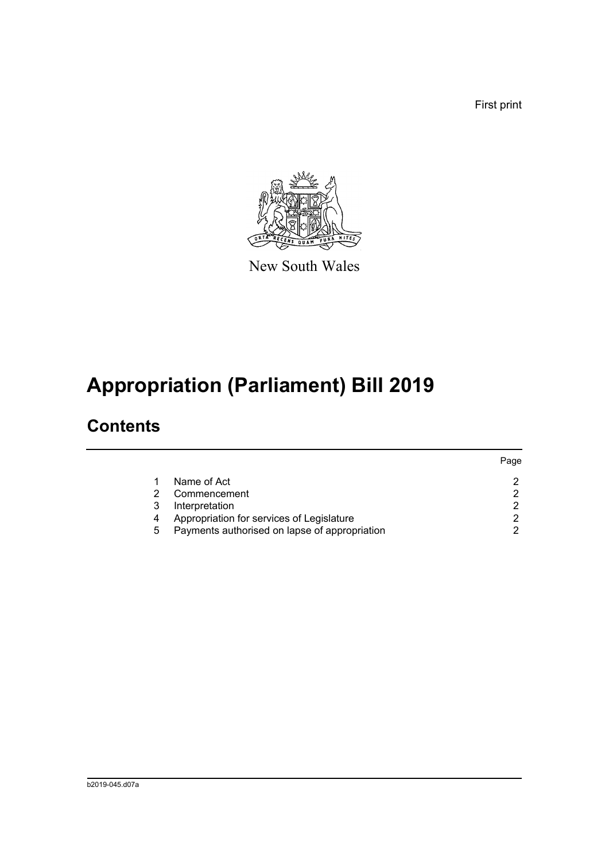First print



New South Wales

# **Appropriation (Parliament) Bill 2019**

### **Contents**

|   |                                               | Page |
|---|-----------------------------------------------|------|
|   | Name of Act                                   |      |
|   | Commencement                                  |      |
| 3 | Interpretation                                | ◠    |
| 4 | Appropriation for services of Legislature     |      |
| 5 | Payments authorised on lapse of appropriation |      |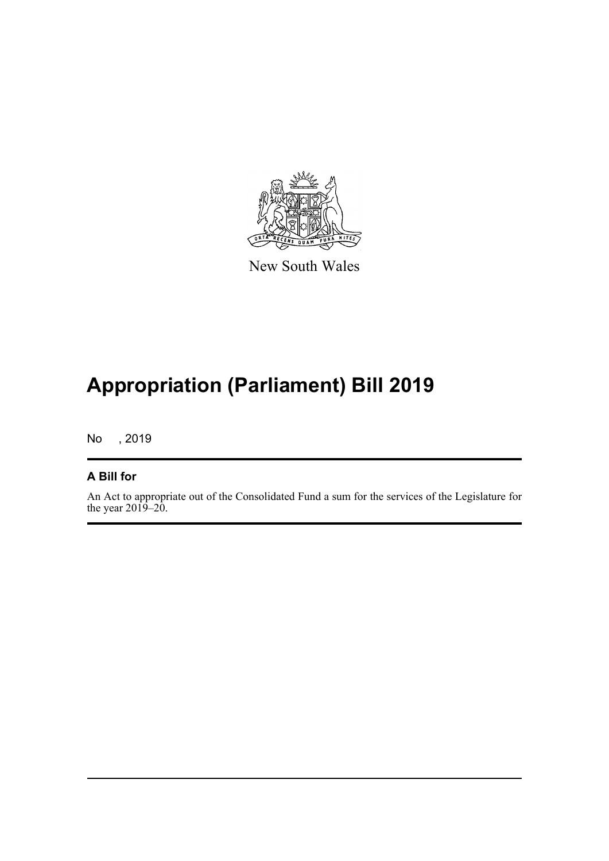

New South Wales

# **Appropriation (Parliament) Bill 2019**

No , 2019

#### **A Bill for**

An Act to appropriate out of the Consolidated Fund a sum for the services of the Legislature for the year  $2019-20$ .